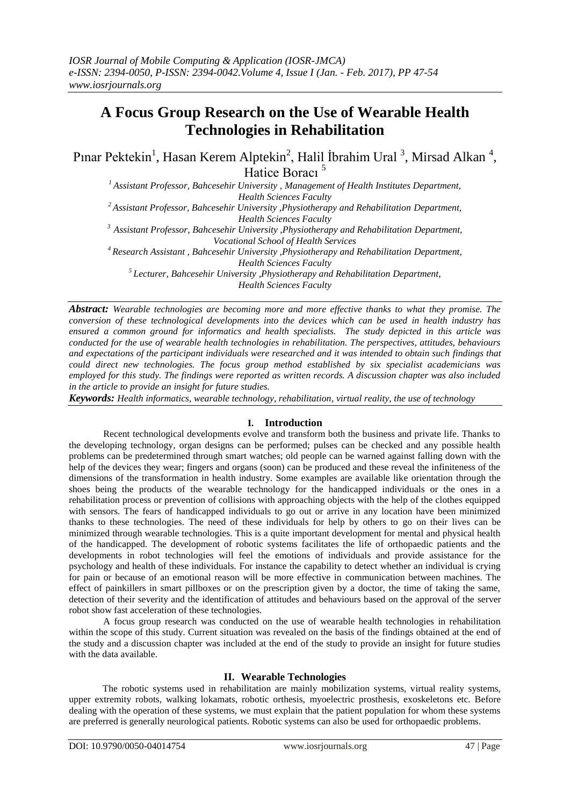# **A Focus Group Research on the Use of Wearable Health Technologies in Rehabilitation**

Pınar Pektekin<sup>1</sup>, Hasan Kerem Alptekin<sup>2</sup>, Halil İbrahim Ural<sup>3</sup>, Mirsad Alkan<sup>4</sup>, Hatice Boracı<sup>5</sup>

*<sup>1</sup>Assistant Professor, Bahcesehir University , Management of Health Institutes Department, Health Sciences Faculty <sup>2</sup>Assistant Professor, Bahcesehir University ,Physiotherapy and Rehabilitation Department, Health Sciences Faculty*

*<sup>3</sup>Assistant Professor, Bahcesehir University ,Physiotherapy and Rehabilitation Department, Vocational School of Health Services*

*<sup>4</sup>Research Assistant , Bahcesehir University ,Physiotherapy and Rehabilitation Department,*

*Health Sciences Faculty*

*<sup>5</sup>Lecturer, Bahcesehir University ,Physiotherapy and Rehabilitation Department,*

*Health Sciences Faculty*

*Abstract: Wearable technologies are becoming more and more effective thanks to what they promise. The conversion of these technological developments into the devices which can be used in health industry has ensured a common ground for informatics and health specialists. The study depicted in this article was conducted for the use of wearable health technologies in rehabilitation. The perspectives, attitudes, behaviours and expectations of the participant individuals were researched and it was intended to obtain such findings that could direct new technologies. The focus group method established by six specialist academicians was employed for this study. The findings were reported as written records. A discussion chapter was also included in the article to provide an insight for future studies.* 

*Keywords: Health informatics, wearable technology, rehabilitation, virtual reality, the use of technology*

# **I. Introduction**

Recent technological developments evolve and transform both the business and private life. Thanks to the developing technology, organ designs can be performed; pulses can be checked and any possible health problems can be predetermined through smart watches; old people can be warned against falling down with the help of the devices they wear; fingers and organs (soon) can be produced and these reveal the infiniteness of the dimensions of the transformation in health industry. Some examples are available like orientation through the shoes being the products of the wearable technology for the handicapped individuals or the ones in a rehabilitation process or prevention of collisions with approaching objects with the help of the clothes equipped with sensors. The fears of handicapped individuals to go out or arrive in any location have been minimized thanks to these technologies. The need of these individuals for help by others to go on their lives can be minimized through wearable technologies. This is a quite important development for mental and physical health of the handicapped. The development of robotic systems facilitates the life of orthopaedic patients and the developments in robot technologies will feel the emotions of individuals and provide assistance for the psychology and health of these individuals. For instance the capability to detect whether an individual is crying for pain or because of an emotional reason will be more effective in communication between machines. The effect of painkillers in smart pillboxes or on the prescription given by a doctor, the time of taking the same, detection of their severity and the identification of attitudes and behaviours based on the approval of the server robot show fast acceleration of these technologies.

A focus group research was conducted on the use of wearable health technologies in rehabilitation within the scope of this study. Current situation was revealed on the basis of the findings obtained at the end of the study and a discussion chapter was included at the end of the study to provide an insight for future studies with the data available.

# **II. Wearable Technologies**

The robotic systems used in rehabilitation are mainly mobilization systems, virtual reality systems, upper extremity robots, walking lokamats, robotic orthesis, myoelectric prosthesis, exoskeletons etc. Before dealing with the operation of these systems, we must explain that the patient population for whom these systems are preferred is generally neurological patients. Robotic systems can also be used for orthopaedic problems.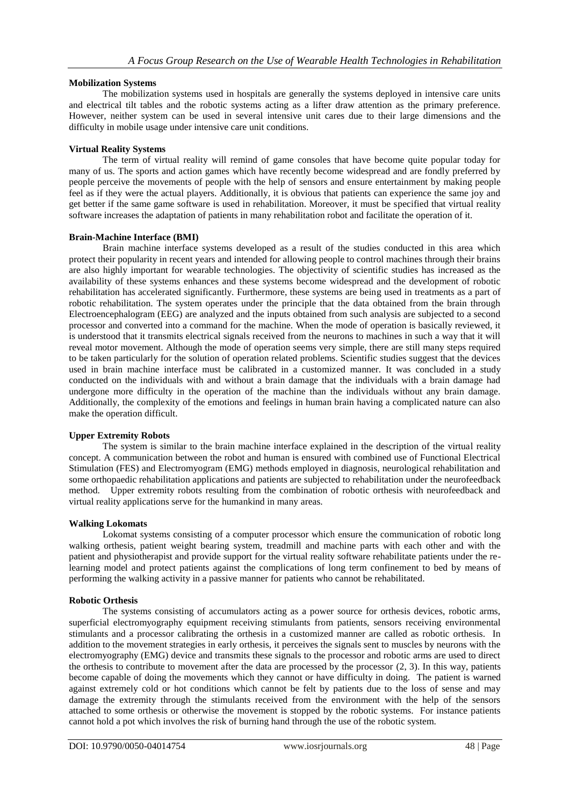# **Mobilization Systems**

The mobilization systems used in hospitals are generally the systems deployed in intensive care units and electrical tilt tables and the robotic systems acting as a lifter draw attention as the primary preference. However, neither system can be used in several intensive unit cares due to their large dimensions and the difficulty in mobile usage under intensive care unit conditions.

## **Virtual Reality Systems**

The term of virtual reality will remind of game consoles that have become quite popular today for many of us. The sports and action games which have recently become widespread and are fondly preferred by people perceive the movements of people with the help of sensors and ensure entertainment by making people feel as if they were the actual players. Additionally, it is obvious that patients can experience the same joy and get better if the same game software is used in rehabilitation. Moreover, it must be specified that virtual reality software increases the adaptation of patients in many rehabilitation robot and facilitate the operation of it.

#### **Brain-Machine Interface (BMI)**

Brain machine interface systems developed as a result of the studies conducted in this area which protect their popularity in recent years and intended for allowing people to control machines through their brains are also highly important for wearable technologies. The objectivity of scientific studies has increased as the availability of these systems enhances and these systems become widespread and the development of robotic rehabilitation has accelerated significantly. Furthermore, these systems are being used in treatments as a part of robotic rehabilitation. The system operates under the principle that the data obtained from the brain through Electroencephalogram (EEG) are analyzed and the inputs obtained from such analysis are subjected to a second processor and converted into a command for the machine. When the mode of operation is basically reviewed, it is understood that it transmits electrical signals received from the neurons to machines in such a way that it will reveal motor movement. Although the mode of operation seems very simple, there are still many steps required to be taken particularly for the solution of operation related problems. Scientific studies suggest that the devices used in brain machine interface must be calibrated in a customized manner. It was concluded in a study conducted on the individuals with and without a brain damage that the individuals with a brain damage had undergone more difficulty in the operation of the machine than the individuals without any brain damage. Additionally, the complexity of the emotions and feelings in human brain having a complicated nature can also make the operation difficult.

# **Upper Extremity Robots**

The system is similar to the brain machine interface explained in the description of the virtual reality concept. A communication between the robot and human is ensured with combined use of Functional Electrical Stimulation (FES) and Electromyogram (EMG) methods employed in diagnosis, neurological rehabilitation and some orthopaedic rehabilitation applications and patients are subjected to rehabilitation under the neurofeedback method. Upper extremity robots resulting from the combination of robotic orthesis with neurofeedback and virtual reality applications serve for the humankind in many areas.

#### **Walking Lokomats**

Lokomat systems consisting of a computer processor which ensure the communication of robotic long walking orthesis, patient weight bearing system, treadmill and machine parts with each other and with the patient and physiotherapist and provide support for the virtual reality software rehabilitate patients under the relearning model and protect patients against the complications of long term confinement to bed by means of performing the walking activity in a passive manner for patients who cannot be rehabilitated.

#### **Robotic Orthesis**

The systems consisting of accumulators acting as a power source for orthesis devices, robotic arms, superficial electromyography equipment receiving stimulants from patients, sensors receiving environmental stimulants and a processor calibrating the orthesis in a customized manner are called as robotic orthesis. In addition to the movement strategies in early orthesis, it perceives the signals sent to muscles by neurons with the electromyography (EMG) device and transmits these signals to the processor and robotic arms are used to direct the orthesis to contribute to movement after the data are processed by the processor (2, 3). In this way, patients become capable of doing the movements which they cannot or have difficulty in doing. The patient is warned against extremely cold or hot conditions which cannot be felt by patients due to the loss of sense and may damage the extremity through the stimulants received from the environment with the help of the sensors attached to some orthesis or otherwise the movement is stopped by the robotic systems. For instance patients cannot hold a pot which involves the risk of burning hand through the use of the robotic system.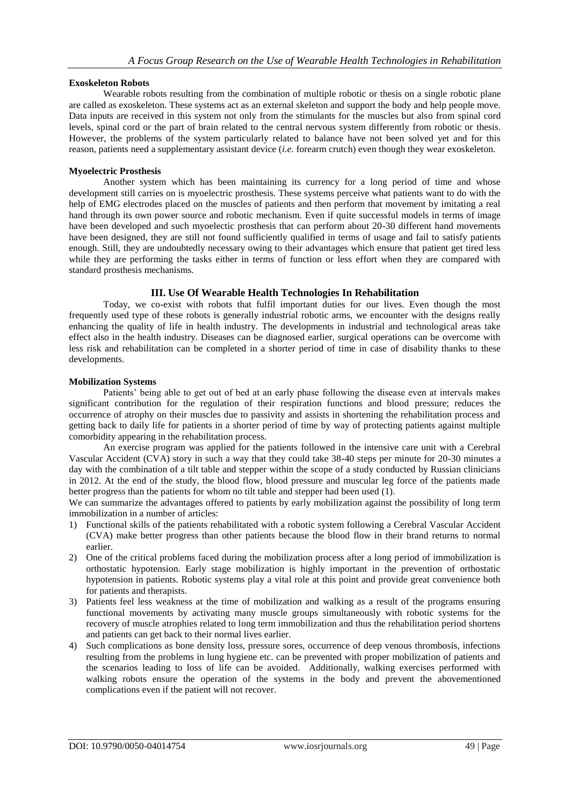## **Exoskeleton Robots**

Wearable robots resulting from the combination of multiple robotic or thesis on a single robotic plane are called as exoskeleton. These systems act as an external skeleton and support the body and help people move. Data inputs are received in this system not only from the stimulants for the muscles but also from spinal cord levels, spinal cord or the part of brain related to the central nervous system differently from robotic or thesis. However, the problems of the system particularly related to balance have not been solved yet and for this reason, patients need a supplementary assistant device (*i.e.* forearm crutch) even though they wear exoskeleton.

#### **Myoelectric Prosthesis**

Another system which has been maintaining its currency for a long period of time and whose development still carries on is myoelectric prosthesis. These systems perceive what patients want to do with the help of EMG electrodes placed on the muscles of patients and then perform that movement by imitating a real hand through its own power source and robotic mechanism. Even if quite successful models in terms of image have been developed and such myoelectic prosthesis that can perform about 20-30 different hand movements have been designed, they are still not found sufficiently qualified in terms of usage and fail to satisfy patients enough. Still, they are undoubtedly necessary owing to their advantages which ensure that patient get tired less while they are performing the tasks either in terms of function or less effort when they are compared with standard prosthesis mechanisms.

# **III. Use Of Wearable Health Technologies In Rehabilitation**

Today, we co-exist with robots that fulfil important duties for our lives. Even though the most frequently used type of these robots is generally industrial robotic arms, we encounter with the designs really enhancing the quality of life in health industry. The developments in industrial and technological areas take effect also in the health industry. Diseases can be diagnosed earlier, surgical operations can be overcome with less risk and rehabilitation can be completed in a shorter period of time in case of disability thanks to these developments.

# **Mobilization Systems**

Patients' being able to get out of bed at an early phase following the disease even at intervals makes significant contribution for the regulation of their respiration functions and blood pressure; reduces the occurrence of atrophy on their muscles due to passivity and assists in shortening the rehabilitation process and getting back to daily life for patients in a shorter period of time by way of protecting patients against multiple comorbidity appearing in the rehabilitation process.

An exercise program was applied for the patients followed in the intensive care unit with a Cerebral Vascular Accident (CVA) story in such a way that they could take 38-40 steps per minute for 20-30 minutes a day with the combination of a tilt table and stepper within the scope of a study conducted by Russian clinicians in 2012. At the end of the study, the blood flow, blood pressure and muscular leg force of the patients made better progress than the patients for whom no tilt table and stepper had been used (1).

We can summarize the advantages offered to patients by early mobilization against the possibility of long term immobilization in a number of articles:

- 1) Functional skills of the patients rehabilitated with a robotic system following a Cerebral Vascular Accident (CVA) make better progress than other patients because the blood flow in their brand returns to normal earlier.
- 2) One of the critical problems faced during the mobilization process after a long period of immobilization is orthostatic hypotension. Early stage mobilization is highly important in the prevention of orthostatic hypotension in patients. Robotic systems play a vital role at this point and provide great convenience both for patients and therapists.
- 3) Patients feel less weakness at the time of mobilization and walking as a result of the programs ensuring functional movements by activating many muscle groups simultaneously with robotic systems for the recovery of muscle atrophies related to long term immobilization and thus the rehabilitation period shortens and patients can get back to their normal lives earlier.
- 4) Such complications as bone density loss, pressure sores, occurrence of deep venous thrombosis, infections resulting from the problems in lung hygiene etc. can be prevented with proper mobilization of patients and the scenarios leading to loss of life can be avoided. Additionally, walking exercises performed with walking robots ensure the operation of the systems in the body and prevent the abovementioned complications even if the patient will not recover.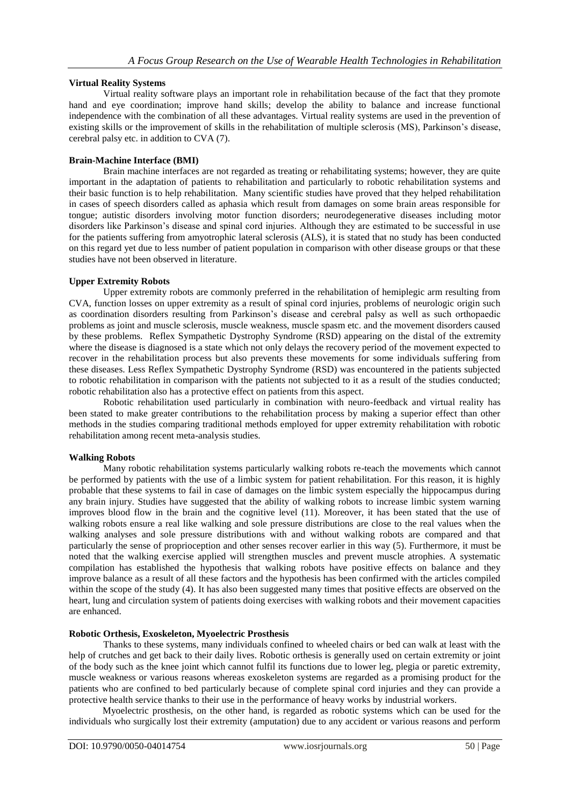# **Virtual Reality Systems**

Virtual reality software plays an important role in rehabilitation because of the fact that they promote hand and eye coordination; improve hand skills; develop the ability to balance and increase functional independence with the combination of all these advantages. Virtual reality systems are used in the prevention of existing skills or the improvement of skills in the rehabilitation of multiple sclerosis (MS), Parkinson's disease, cerebral palsy etc. in addition to CVA (7).

# **Brain-Machine Interface (BMI)**

Brain machine interfaces are not regarded as treating or rehabilitating systems; however, they are quite important in the adaptation of patients to rehabilitation and particularly to robotic rehabilitation systems and their basic function is to help rehabilitation. Many scientific studies have proved that they helped rehabilitation in cases of speech disorders called as aphasia which result from damages on some brain areas responsible for tongue; autistic disorders involving motor function disorders; neurodegenerative diseases including motor disorders like Parkinson's disease and spinal cord injuries. Although they are estimated to be successful in use for the patients suffering from amyotrophic lateral sclerosis (ALS), it is stated that no study has been conducted on this regard yet due to less number of patient population in comparison with other disease groups or that these studies have not been observed in literature.

# **Upper Extremity Robots**

Upper extremity robots are commonly preferred in the rehabilitation of hemiplegic arm resulting from CVA, function losses on upper extremity as a result of spinal cord injuries, problems of neurologic origin such as coordination disorders resulting from Parkinson's disease and cerebral palsy as well as such orthopaedic problems as joint and muscle sclerosis, muscle weakness, muscle spasm etc. and the movement disorders caused by these problems. Reflex Sympathetic Dystrophy Syndrome (RSD) appearing on the distal of the extremity where the disease is diagnosed is a state which not only delays the recovery period of the movement expected to recover in the rehabilitation process but also prevents these movements for some individuals suffering from these diseases. Less Reflex Sympathetic Dystrophy Syndrome (RSD) was encountered in the patients subjected to robotic rehabilitation in comparison with the patients not subjected to it as a result of the studies conducted; robotic rehabilitation also has a protective effect on patients from this aspect.

Robotic rehabilitation used particularly in combination with neuro-feedback and virtual reality has been stated to make greater contributions to the rehabilitation process by making a superior effect than other methods in the studies comparing traditional methods employed for upper extremity rehabilitation with robotic rehabilitation among recent meta-analysis studies.

#### **Walking Robots**

Many robotic rehabilitation systems particularly walking robots re-teach the movements which cannot be performed by patients with the use of a limbic system for patient rehabilitation. For this reason, it is highly probable that these systems to fail in case of damages on the limbic system especially the hippocampus during any brain injury. Studies have suggested that the ability of walking robots to increase limbic system warning improves blood flow in the brain and the cognitive level (11). Moreover, it has been stated that the use of walking robots ensure a real like walking and sole pressure distributions are close to the real values when the walking analyses and sole pressure distributions with and without walking robots are compared and that particularly the sense of proprioception and other senses recover earlier in this way (5). Furthermore, it must be noted that the walking exercise applied will strengthen muscles and prevent muscle atrophies. A systematic compilation has established the hypothesis that walking robots have positive effects on balance and they improve balance as a result of all these factors and the hypothesis has been confirmed with the articles compiled within the scope of the study (4). It has also been suggested many times that positive effects are observed on the heart, lung and circulation system of patients doing exercises with walking robots and their movement capacities are enhanced.

### **Robotic Orthesis, Exoskeleton, Myoelectric Prosthesis**

Thanks to these systems, many individuals confined to wheeled chairs or bed can walk at least with the help of crutches and get back to their daily lives. Robotic orthesis is generally used on certain extremity or joint of the body such as the knee joint which cannot fulfil its functions due to lower leg, plegia or paretic extremity, muscle weakness or various reasons whereas exoskeleton systems are regarded as a promising product for the patients who are confined to bed particularly because of complete spinal cord injuries and they can provide a protective health service thanks to their use in the performance of heavy works by industrial workers.

Myoelectric prosthesis, on the other hand, is regarded as robotic systems which can be used for the individuals who surgically lost their extremity (amputation) due to any accident or various reasons and perform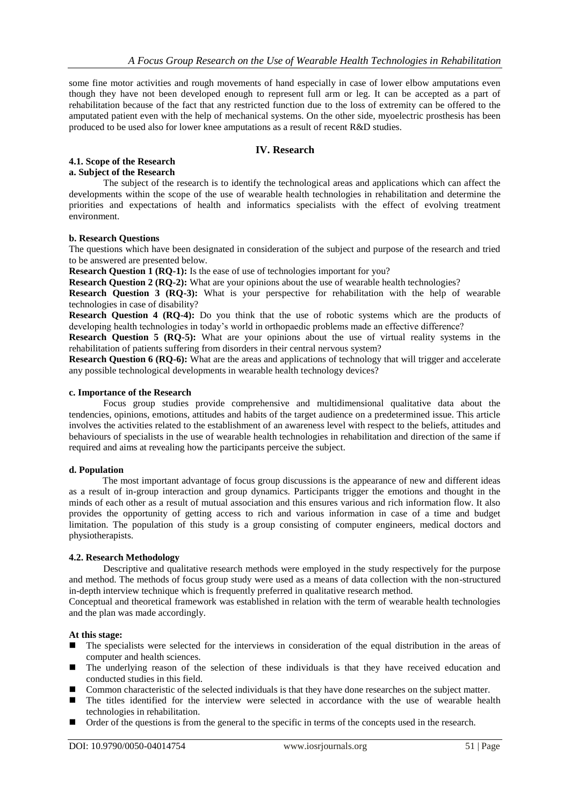some fine motor activities and rough movements of hand especially in case of lower elbow amputations even though they have not been developed enough to represent full arm or leg. It can be accepted as a part of rehabilitation because of the fact that any restricted function due to the loss of extremity can be offered to the amputated patient even with the help of mechanical systems. On the other side, myoelectric prosthesis has been produced to be used also for lower knee amputations as a result of recent R&D studies.

# **IV. Research**

# **4.1. Scope of the Research**

#### **a. Subject of the Research**

The subject of the research is to identify the technological areas and applications which can affect the developments within the scope of the use of wearable health technologies in rehabilitation and determine the priorities and expectations of health and informatics specialists with the effect of evolving treatment environment.

#### **b. Research Questions**

The questions which have been designated in consideration of the subject and purpose of the research and tried to be answered are presented below.

**Research Question 1 (RQ-1):** Is the ease of use of technologies important for you?

**Research Question 2 (RQ-2):** What are your opinions about the use of wearable health technologies?

**Research Question 3 (RQ-3):** What is your perspective for rehabilitation with the help of wearable technologies in case of disability?

**Research Question 4 (RQ-4):** Do you think that the use of robotic systems which are the products of developing health technologies in today's world in orthopaedic problems made an effective difference?

**Research Question 5 (RQ-5):** What are your opinions about the use of virtual reality systems in the rehabilitation of patients suffering from disorders in their central nervous system?

**Research Question 6 (RQ-6):** What are the areas and applications of technology that will trigger and accelerate any possible technological developments in wearable health technology devices?

## **c. Importance of the Research**

Focus group studies provide comprehensive and multidimensional qualitative data about the tendencies, opinions, emotions, attitudes and habits of the target audience on a predetermined issue. This article involves the activities related to the establishment of an awareness level with respect to the beliefs, attitudes and behaviours of specialists in the use of wearable health technologies in rehabilitation and direction of the same if required and aims at revealing how the participants perceive the subject.

#### **d. Population**

The most important advantage of focus group discussions is the appearance of new and different ideas as a result of in-group interaction and group dynamics. Participants trigger the emotions and thought in the minds of each other as a result of mutual association and this ensures various and rich information flow. It also provides the opportunity of getting access to rich and various information in case of a time and budget limitation. The population of this study is a group consisting of computer engineers, medical doctors and physiotherapists.

#### **4.2. Research Methodology**

Descriptive and qualitative research methods were employed in the study respectively for the purpose and method. The methods of focus group study were used as a means of data collection with the non-structured in-depth interview technique which is frequently preferred in qualitative research method.

Conceptual and theoretical framework was established in relation with the term of wearable health technologies and the plan was made accordingly.

#### **At this stage:**

- The specialists were selected for the interviews in consideration of the equal distribution in the areas of computer and health sciences.
- The underlying reason of the selection of these individuals is that they have received education and conducted studies in this field.
- Common characteristic of the selected individuals is that they have done researches on the subject matter.
- The titles identified for the interview were selected in accordance with the use of wearable health technologies in rehabilitation.
- $\blacksquare$  Order of the questions is from the general to the specific in terms of the concepts used in the research.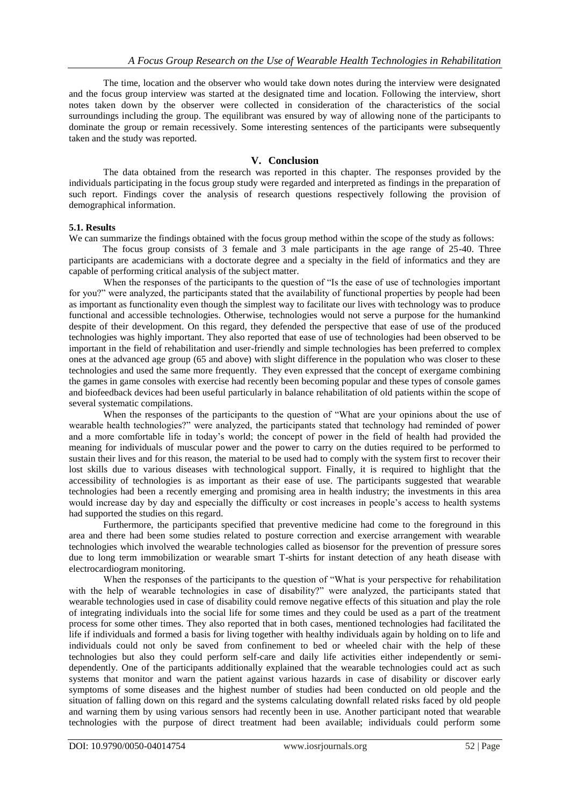The time, location and the observer who would take down notes during the interview were designated and the focus group interview was started at the designated time and location. Following the interview, short notes taken down by the observer were collected in consideration of the characteristics of the social surroundings including the group. The equilibrant was ensured by way of allowing none of the participants to dominate the group or remain recessively. Some interesting sentences of the participants were subsequently taken and the study was reported.

# **V. Conclusion**

The data obtained from the research was reported in this chapter. The responses provided by the individuals participating in the focus group study were regarded and interpreted as findings in the preparation of such report. Findings cover the analysis of research questions respectively following the provision of demographical information.

# **5.1. Results**

We can summarize the findings obtained with the focus group method within the scope of the study as follows:

The focus group consists of 3 female and 3 male participants in the age range of 25-40. Three participants are academicians with a doctorate degree and a specialty in the field of informatics and they are capable of performing critical analysis of the subject matter.

When the responses of the participants to the question of "Is the ease of use of technologies important for you?" were analyzed, the participants stated that the availability of functional properties by people had been as important as functionality even though the simplest way to facilitate our lives with technology was to produce functional and accessible technologies. Otherwise, technologies would not serve a purpose for the humankind despite of their development. On this regard, they defended the perspective that ease of use of the produced technologies was highly important. They also reported that ease of use of technologies had been observed to be important in the field of rehabilitation and user-friendly and simple technologies has been preferred to complex ones at the advanced age group (65 and above) with slight difference in the population who was closer to these technologies and used the same more frequently. They even expressed that the concept of exergame combining the games in game consoles with exercise had recently been becoming popular and these types of console games and biofeedback devices had been useful particularly in balance rehabilitation of old patients within the scope of several systematic compilations.

When the responses of the participants to the question of "What are your opinions about the use of wearable health technologies?" were analyzed, the participants stated that technology had reminded of power and a more comfortable life in today's world; the concept of power in the field of health had provided the meaning for individuals of muscular power and the power to carry on the duties required to be performed to sustain their lives and for this reason, the material to be used had to comply with the system first to recover their lost skills due to various diseases with technological support. Finally, it is required to highlight that the accessibility of technologies is as important as their ease of use. The participants suggested that wearable technologies had been a recently emerging and promising area in health industry; the investments in this area would increase day by day and especially the difficulty or cost increases in people's access to health systems had supported the studies on this regard.

Furthermore, the participants specified that preventive medicine had come to the foreground in this area and there had been some studies related to posture correction and exercise arrangement with wearable technologies which involved the wearable technologies called as biosensor for the prevention of pressure sores due to long term immobilization or wearable smart T-shirts for instant detection of any heath disease with electrocardiogram monitoring.

When the responses of the participants to the question of "What is your perspective for rehabilitation with the help of wearable technologies in case of disability?" were analyzed, the participants stated that wearable technologies used in case of disability could remove negative effects of this situation and play the role of integrating individuals into the social life for some times and they could be used as a part of the treatment process for some other times. They also reported that in both cases, mentioned technologies had facilitated the life if individuals and formed a basis for living together with healthy individuals again by holding on to life and individuals could not only be saved from confinement to bed or wheeled chair with the help of these technologies but also they could perform self-care and daily life activities either independently or semidependently. One of the participants additionally explained that the wearable technologies could act as such systems that monitor and warn the patient against various hazards in case of disability or discover early symptoms of some diseases and the highest number of studies had been conducted on old people and the situation of falling down on this regard and the systems calculating downfall related risks faced by old people and warning them by using various sensors had recently been in use. Another participant noted that wearable technologies with the purpose of direct treatment had been available; individuals could perform some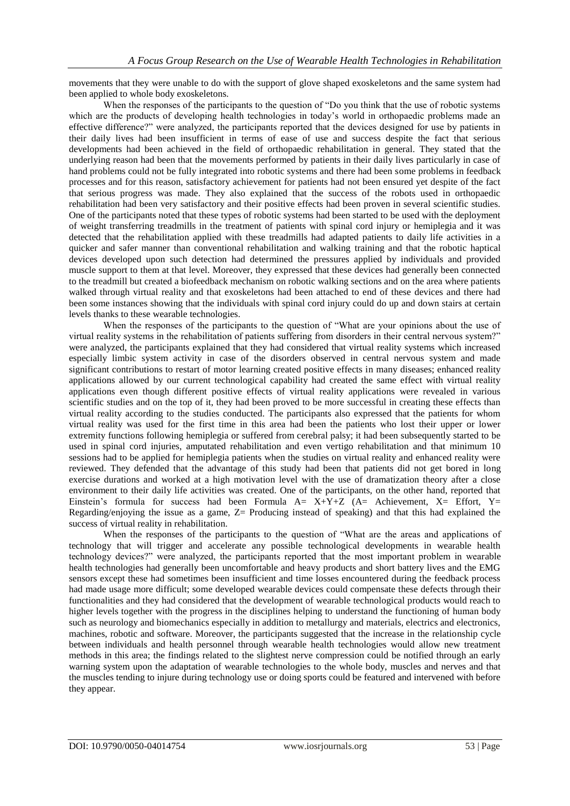movements that they were unable to do with the support of glove shaped exoskeletons and the same system had been applied to whole body exoskeletons.

When the responses of the participants to the question of "Do you think that the use of robotic systems" which are the products of developing health technologies in today's world in orthopaedic problems made an effective difference?" were analyzed, the participants reported that the devices designed for use by patients in their daily lives had been insufficient in terms of ease of use and success despite the fact that serious developments had been achieved in the field of orthopaedic rehabilitation in general. They stated that the underlying reason had been that the movements performed by patients in their daily lives particularly in case of hand problems could not be fully integrated into robotic systems and there had been some problems in feedback processes and for this reason, satisfactory achievement for patients had not been ensured yet despite of the fact that serious progress was made. They also explained that the success of the robots used in orthopaedic rehabilitation had been very satisfactory and their positive effects had been proven in several scientific studies. One of the participants noted that these types of robotic systems had been started to be used with the deployment of weight transferring treadmills in the treatment of patients with spinal cord injury or hemiplegia and it was detected that the rehabilitation applied with these treadmills had adapted patients to daily life activities in a quicker and safer manner than conventional rehabilitation and walking training and that the robotic haptical devices developed upon such detection had determined the pressures applied by individuals and provided muscle support to them at that level. Moreover, they expressed that these devices had generally been connected to the treadmill but created a biofeedback mechanism on robotic walking sections and on the area where patients walked through virtual reality and that exoskeletons had been attached to end of these devices and there had been some instances showing that the individuals with spinal cord injury could do up and down stairs at certain levels thanks to these wearable technologies.

When the responses of the participants to the question of "What are your opinions about the use of virtual reality systems in the rehabilitation of patients suffering from disorders in their central nervous system?" were analyzed, the participants explained that they had considered that virtual reality systems which increased especially limbic system activity in case of the disorders observed in central nervous system and made significant contributions to restart of motor learning created positive effects in many diseases; enhanced reality applications allowed by our current technological capability had created the same effect with virtual reality applications even though different positive effects of virtual reality applications were revealed in various scientific studies and on the top of it, they had been proved to be more successful in creating these effects than virtual reality according to the studies conducted. The participants also expressed that the patients for whom virtual reality was used for the first time in this area had been the patients who lost their upper or lower extremity functions following hemiplegia or suffered from cerebral palsy; it had been subsequently started to be used in spinal cord injuries, amputated rehabilitation and even vertigo rehabilitation and that minimum 10 sessions had to be applied for hemiplegia patients when the studies on virtual reality and enhanced reality were reviewed. They defended that the advantage of this study had been that patients did not get bored in long exercise durations and worked at a high motivation level with the use of dramatization theory after a close environment to their daily life activities was created. One of the participants, on the other hand, reported that Einstein's formula for success had been Formula  $A= X+Y+Z$  ( $A=$  Achievement,  $X=$  Effort,  $Y=$ Regarding/enjoying the issue as a game, Z= Producing instead of speaking) and that this had explained the success of virtual reality in rehabilitation.

When the responses of the participants to the question of "What are the areas and applications of technology that will trigger and accelerate any possible technological developments in wearable health technology devices?" were analyzed, the participants reported that the most important problem in wearable health technologies had generally been uncomfortable and heavy products and short battery lives and the EMG sensors except these had sometimes been insufficient and time losses encountered during the feedback process had made usage more difficult; some developed wearable devices could compensate these defects through their functionalities and they had considered that the development of wearable technological products would reach to higher levels together with the progress in the disciplines helping to understand the functioning of human body such as neurology and biomechanics especially in addition to metallurgy and materials, electrics and electronics, machines, robotic and software. Moreover, the participants suggested that the increase in the relationship cycle between individuals and health personnel through wearable health technologies would allow new treatment methods in this area; the findings related to the slightest nerve compression could be notified through an early warning system upon the adaptation of wearable technologies to the whole body, muscles and nerves and that the muscles tending to injure during technology use or doing sports could be featured and intervened with before they appear.